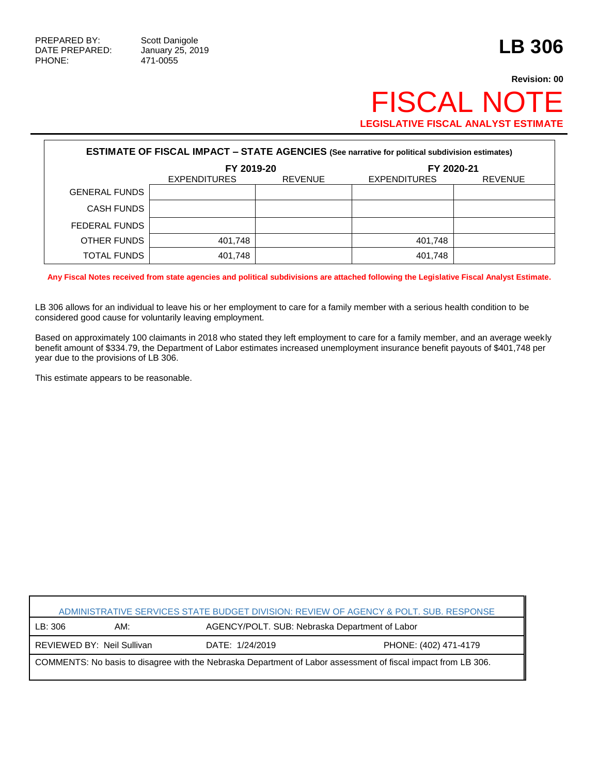## **Revision: 00** FISCAL NOTE **LEGISLATIVE FISCAL ANALYST ESTIMATE**

| <b>ESTIMATE OF FISCAL IMPACT - STATE AGENCIES (See narrative for political subdivision estimates)</b> |                     |                |                     |                |  |  |
|-------------------------------------------------------------------------------------------------------|---------------------|----------------|---------------------|----------------|--|--|
|                                                                                                       | FY 2019-20          |                | FY 2020-21          |                |  |  |
|                                                                                                       | <b>EXPENDITURES</b> | <b>REVENUE</b> | <b>EXPENDITURES</b> | <b>REVENUE</b> |  |  |
| <b>GENERAL FUNDS</b>                                                                                  |                     |                |                     |                |  |  |
| <b>CASH FUNDS</b>                                                                                     |                     |                |                     |                |  |  |
| FEDERAL FUNDS                                                                                         |                     |                |                     |                |  |  |
| OTHER FUNDS                                                                                           | 401,748             |                | 401,748             |                |  |  |
| <b>TOTAL FUNDS</b>                                                                                    | 401,748             |                | 401,748             |                |  |  |

**Any Fiscal Notes received from state agencies and political subdivisions are attached following the Legislative Fiscal Analyst Estimate.**

LB 306 allows for an individual to leave his or her employment to care for a family member with a serious health condition to be considered good cause for voluntarily leaving employment.

Based on approximately 100 claimants in 2018 who stated they left employment to care for a family member, and an average weekly benefit amount of \$334.79, the Department of Labor estimates increased unemployment insurance benefit payouts of \$401,748 per year due to the provisions of LB 306.

This estimate appears to be reasonable.

| ADMINISTRATIVE SERVICES STATE BUDGET DIVISION: REVIEW OF AGENCY & POLT. SUB. RESPONSE                         |                            |                 |                                                |  |  |
|---------------------------------------------------------------------------------------------------------------|----------------------------|-----------------|------------------------------------------------|--|--|
| LB: 306                                                                                                       | AM:                        |                 | AGENCY/POLT. SUB: Nebraska Department of Labor |  |  |
|                                                                                                               | REVIEWED BY: Neil Sullivan | DATE: 1/24/2019 | PHONE: (402) 471-4179                          |  |  |
| COMMENTS: No basis to disagree with the Nebraska Department of Labor assessment of fiscal impact from LB 306. |                            |                 |                                                |  |  |